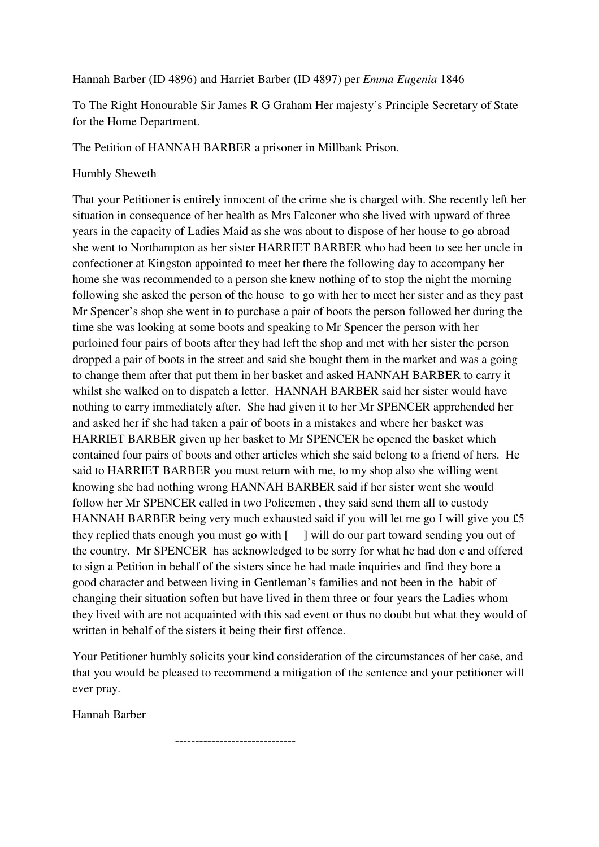## Hannah Barber (ID 4896) and Harriet Barber (ID 4897) per *Emma Eugenia* 1846

To The Right Honourable Sir James R G Graham Her majesty's Principle Secretary of State for the Home Department.

The Petition of HANNAH BARBER a prisoner in Millbank Prison.

## Humbly Sheweth

That your Petitioner is entirely innocent of the crime she is charged with. She recently left her situation in consequence of her health as Mrs Falconer who she lived with upward of three years in the capacity of Ladies Maid as she was about to dispose of her house to go abroad she went to Northampton as her sister HARRIET BARBER who had been to see her uncle in confectioner at Kingston appointed to meet her there the following day to accompany her home she was recommended to a person she knew nothing of to stop the night the morning following she asked the person of the house to go with her to meet her sister and as they past Mr Spencer's shop she went in to purchase a pair of boots the person followed her during the time she was looking at some boots and speaking to Mr Spencer the person with her purloined four pairs of boots after they had left the shop and met with her sister the person dropped a pair of boots in the street and said she bought them in the market and was a going to change them after that put them in her basket and asked HANNAH BARBER to carry it whilst she walked on to dispatch a letter. HANNAH BARBER said her sister would have nothing to carry immediately after. She had given it to her Mr SPENCER apprehended her and asked her if she had taken a pair of boots in a mistakes and where her basket was HARRIET BARBER given up her basket to Mr SPENCER he opened the basket which contained four pairs of boots and other articles which she said belong to a friend of hers. He said to HARRIET BARBER you must return with me, to my shop also she willing went knowing she had nothing wrong HANNAH BARBER said if her sister went she would follow her Mr SPENCER called in two Policemen , they said send them all to custody HANNAH BARBER being very much exhausted said if you will let me go I will give you £5 they replied thats enough you must go with  $\lceil \quad \rceil$  will do our part toward sending you out of the country. Mr SPENCER has acknowledged to be sorry for what he had don e and offered to sign a Petition in behalf of the sisters since he had made inquiries and find they bore a good character and between living in Gentleman's families and not been in the habit of changing their situation soften but have lived in them three or four years the Ladies whom they lived with are not acquainted with this sad event or thus no doubt but what they would of written in behalf of the sisters it being their first offence.

Your Petitioner humbly solicits your kind consideration of the circumstances of her case, and that you would be pleased to recommend a mitigation of the sentence and your petitioner will ever pray.

Hannah Barber

------------------------------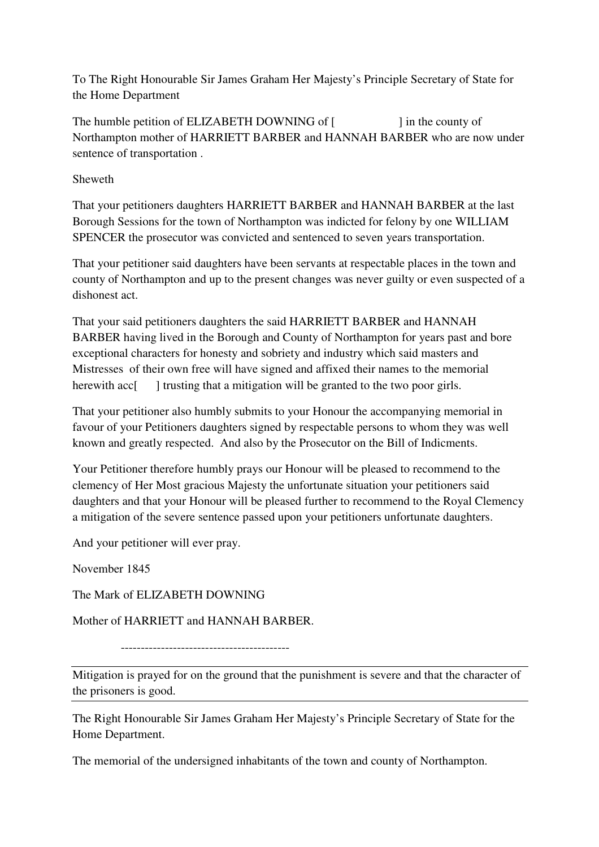To The Right Honourable Sir James Graham Her Majesty's Principle Secretary of State for the Home Department

The humble petition of ELIZABETH DOWNING of [ ] in the county of Northampton mother of HARRIETT BARBER and HANNAH BARBER who are now under sentence of transportation .

Sheweth

That your petitioners daughters HARRIETT BARBER and HANNAH BARBER at the last Borough Sessions for the town of Northampton was indicted for felony by one WILLIAM SPENCER the prosecutor was convicted and sentenced to seven years transportation.

That your petitioner said daughters have been servants at respectable places in the town and county of Northampton and up to the present changes was never guilty or even suspected of a dishonest act.

That your said petitioners daughters the said HARRIETT BARBER and HANNAH BARBER having lived in the Borough and County of Northampton for years past and bore exceptional characters for honesty and sobriety and industry which said masters and Mistresses of their own free will have signed and affixed their names to the memorial herewith acc<sup>[ ]</sup> trusting that a mitigation will be granted to the two poor girls.

That your petitioner also humbly submits to your Honour the accompanying memorial in favour of your Petitioners daughters signed by respectable persons to whom they was well known and greatly respected. And also by the Prosecutor on the Bill of Indicments.

Your Petitioner therefore humbly prays our Honour will be pleased to recommend to the clemency of Her Most gracious Majesty the unfortunate situation your petitioners said daughters and that your Honour will be pleased further to recommend to the Royal Clemency a mitigation of the severe sentence passed upon your petitioners unfortunate daughters.

And your petitioner will ever pray.

November 1845

The Mark of ELIZABETH DOWNING

Mother of HARRIETT and HANNAH BARBER.

------------------------------------------

Mitigation is prayed for on the ground that the punishment is severe and that the character of the prisoners is good.

The Right Honourable Sir James Graham Her Majesty's Principle Secretary of State for the Home Department.

The memorial of the undersigned inhabitants of the town and county of Northampton.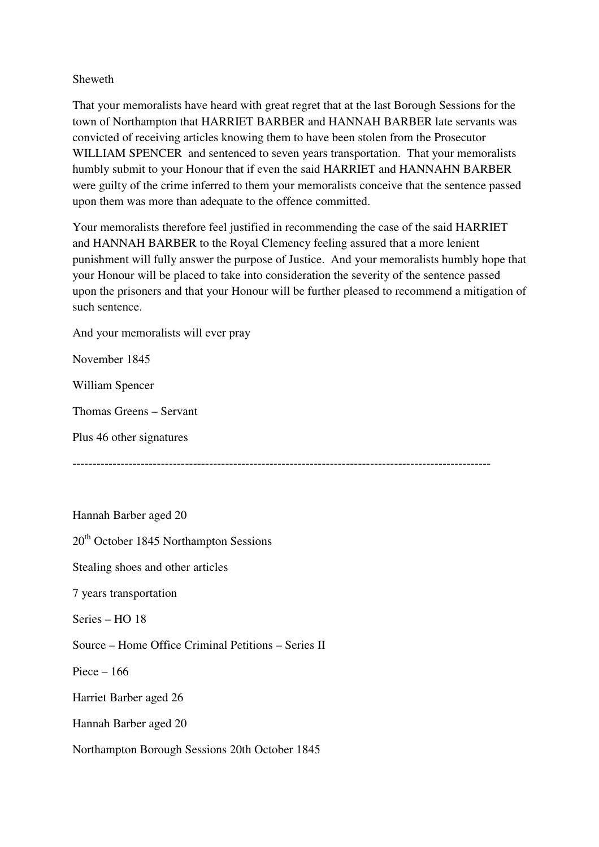## Sheweth

That your memoralists have heard with great regret that at the last Borough Sessions for the town of Northampton that HARRIET BARBER and HANNAH BARBER late servants was convicted of receiving articles knowing them to have been stolen from the Prosecutor WILLIAM SPENCER and sentenced to seven years transportation. That your memoralists humbly submit to your Honour that if even the said HARRIET and HANNAHN BARBER were guilty of the crime inferred to them your memoralists conceive that the sentence passed upon them was more than adequate to the offence committed.

Your memoralists therefore feel justified in recommending the case of the said HARRIET and HANNAH BARBER to the Royal Clemency feeling assured that a more lenient punishment will fully answer the purpose of Justice. And your memoralists humbly hope that your Honour will be placed to take into consideration the severity of the sentence passed upon the prisoners and that your Honour will be further pleased to recommend a mitigation of such sentence.

And your memoralists will ever pray

November 1845

William Spencer

Thomas Greens – Servant

Plus 46 other signatures

--------------------------------------------------------------------------------------------------------

Hannah Barber aged 20

 $20<sup>th</sup>$  October 1845 Northampton Sessions

Stealing shoes and other articles

7 years transportation

Series – HO 18

Source – Home Office Criminal Petitions – Series II

Piece – 166

Harriet Barber aged 26

Hannah Barber aged 20

Northampton Borough Sessions 20th October 1845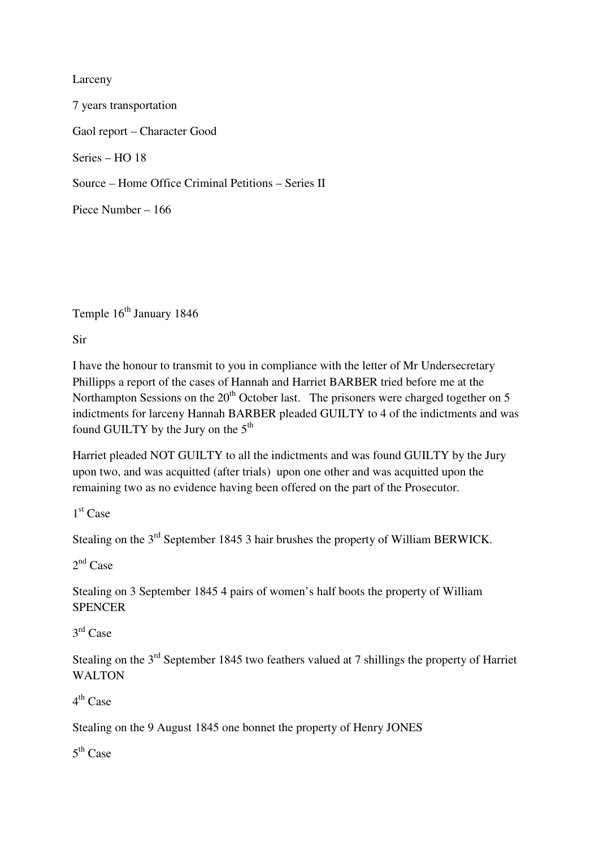## Larceny

7 years transportation Gaol report – Character Good Series – HO 18 Source – Home Office Criminal Petitions – Series II Piece Number – 166

Temple 16<sup>th</sup> January 1846

Sir

I have the honour to transmit to you in compliance with the letter of Mr Undersecretary Phillipps a report of the cases of Hannah and Harriet BARBER tried before me at the Northampton Sessions on the  $20<sup>th</sup>$  October last. The prisoners were charged together on 5 indictments for larceny Hannah BARBER pleaded GUILTY to 4 of the indictments and was found GUILTY by the Jury on the 5<sup>th</sup>

Harriet pleaded NOT GUILTY to all the indictments and was found GUILTY by the Jury upon two, and was acquitted (after trials) upon one other and was acquitted upon the remaining two as no evidence having been offered on the part of the Prosecutor.

1 st Case

Stealing on the 3<sup>rd</sup> September 1845 3 hair brushes the property of William BERWICK.

 $2<sup>nd</sup>$  Case

Stealing on 3 September 1845 4 pairs of women's half boots the property of William **SPENCER** 

3 rd Case

Stealing on the 3<sup>rd</sup> September 1845 two feathers valued at 7 shillings the property of Harriet WALTON

4<sup>th</sup> Case

Stealing on the 9 August 1845 one bonnet the property of Henry JONES

5<sup>th</sup> Case